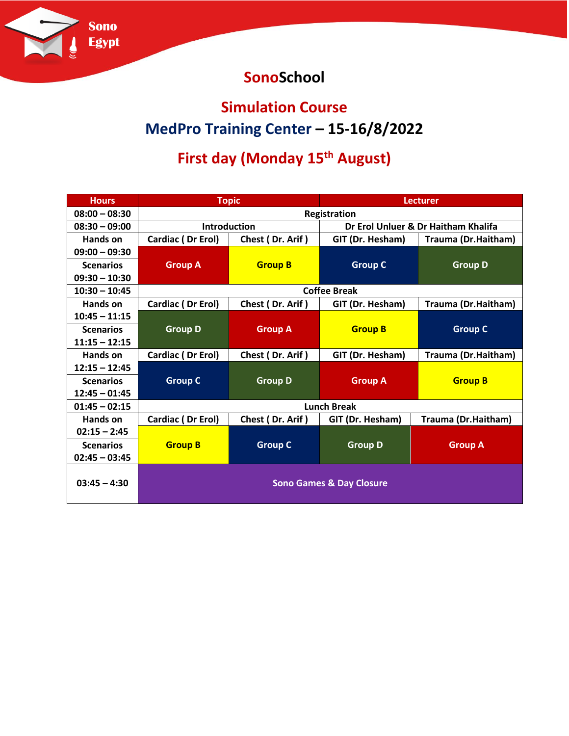

### **SonoSchool**

#### **Simulation Course**

## **MedPro Training Center – 15-16/8/2022**

# **First day (Monday 15th August)**

| <b>Hours</b>     | <b>Topic</b>                        |                  | <b>Lecturer</b>                     |                     |  |  |
|------------------|-------------------------------------|------------------|-------------------------------------|---------------------|--|--|
| $08:00 - 08:30$  | Registration                        |                  |                                     |                     |  |  |
| $08:30 - 09:00$  | <b>Introduction</b>                 |                  | Dr Erol Unluer & Dr Haitham Khalifa |                     |  |  |
| Hands on         | Cardiac (Dr Erol)                   | Chest (Dr. Arif) | GIT (Dr. Hesham)                    | Trauma (Dr.Haitham) |  |  |
| $09:00 - 09:30$  |                                     |                  |                                     |                     |  |  |
| <b>Scenarios</b> | <b>Group A</b>                      | <b>Group B</b>   | <b>Group C</b>                      | <b>Group D</b>      |  |  |
| $09:30 - 10:30$  |                                     |                  |                                     |                     |  |  |
| $10:30 - 10:45$  | <b>Coffee Break</b>                 |                  |                                     |                     |  |  |
| Hands on         | Cardiac (Dr Erol)                   | Chest (Dr. Arif) | GIT (Dr. Hesham)                    | Trauma (Dr.Haitham) |  |  |
| $10:45 - 11:15$  |                                     |                  |                                     |                     |  |  |
| <b>Scenarios</b> | <b>Group D</b>                      | <b>Group A</b>   | <b>Group B</b>                      | <b>Group C</b>      |  |  |
| $11:15 - 12:15$  |                                     |                  |                                     |                     |  |  |
| Hands on         | Cardiac (Dr Erol)                   | Chest (Dr. Arif) | GIT (Dr. Hesham)                    | Trauma (Dr.Haitham) |  |  |
| $12:15 - 12:45$  |                                     |                  |                                     |                     |  |  |
| <b>Scenarios</b> | <b>Group C</b>                      | <b>Group D</b>   | <b>Group A</b>                      | <b>Group B</b>      |  |  |
| $12:45 - 01:45$  |                                     |                  |                                     |                     |  |  |
| $01:45 - 02:15$  | <b>Lunch Break</b>                  |                  |                                     |                     |  |  |
| Hands on         | Cardiac (Dr Erol)                   | Chest (Dr. Arif) | GIT (Dr. Hesham)                    | Trauma (Dr.Haitham) |  |  |
| $02:15 - 2:45$   |                                     |                  |                                     |                     |  |  |
| <b>Scenarios</b> | <b>Group B</b>                      | <b>Group C</b>   | <b>Group D</b>                      | <b>Group A</b>      |  |  |
| $02:45 - 03:45$  |                                     |                  |                                     |                     |  |  |
| $03:45 - 4:30$   | <b>Sono Games &amp; Day Closure</b> |                  |                                     |                     |  |  |